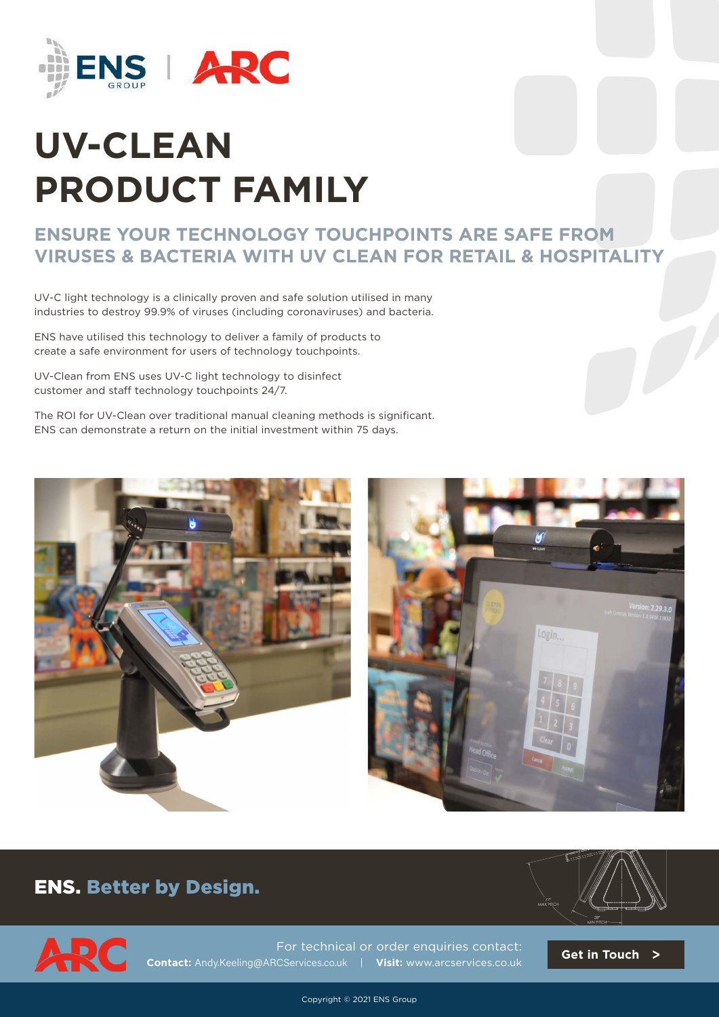

# **UV-CLEAN PRODUCT FAMILY**

### **ENSURE YOUR TECHNOLOGY TOUCHPOINTS ARE SAFE FROM VIRUSES & BACTERIA WITH UV CLEAN FOR RETAIL & HOSPITALITY**

UV-C light technology is a clinically proven and safe solution utilised in many industries to destroy 99.9% of viruses (including coronaviruses) and bacteria.

ENS have utilised this technology to deliver a family of products to create a safe environment for users of technology touchpoints.

UV-Clean from ENS uses UV-C light technology to disinfect customer and staff technology touchpoints 24/7.

The ROI for UV-Clean over traditional manual cleaning methods is significant. ENS can demonstrate a return on the initial investment within 75 days.





#### ENS. Better by Design.





For technical or order enquiries contact: **Contact:** Andy.Keeling@ARCServices.co.uk | **Visit:** www.arcservices[.co.uk](https://www.ens-co.com)

**[Get in Touch](https://arcservices.co.uk/contact-us/)** >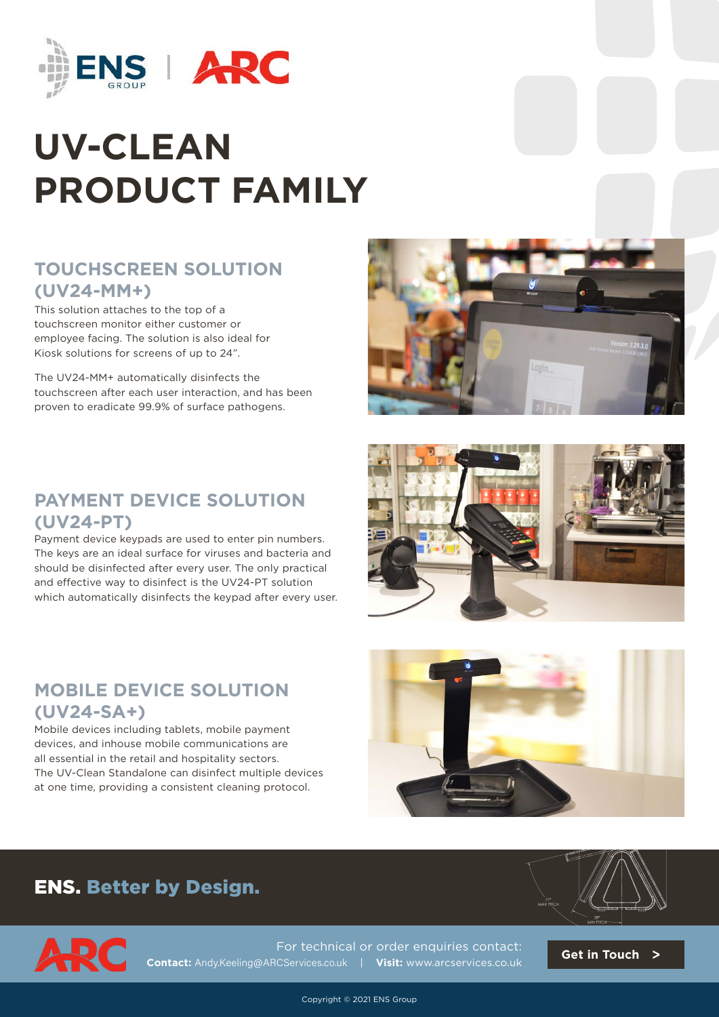

# **UV-CLEAN PRODUCT FAMILY**

### **TOUCHSCREEN SOLUTION (UV24-MM+)**

This solution attaches to the top of a touchscreen monitor either customer or employee facing. The solution is also ideal for Kiosk solutions for screens of up to 24".

The UV24-MM+ automatically disinfects the touchscreen after each user interaction, and has been proven to eradicate 99.9% of surface pathogens.



#### **PAYMENT DEVICE SOLUTION (UV24-PT)**

Payment device keypads are used to enter pin numbers. The keys are an ideal surface for viruses and bacteria and should be disinfected after every user. The only practical and effective way to disinfect is the UV24-PT solution which automatically disinfects the keypad after every user.

## **MOBILE DEVICE SOLUTION (UV24-SA+)**

Mobile devices including tablets, mobile payment devices, and inhouse mobile communications are all essential in the retail and hospitality sectors. The UV-Clean Standalone can disinfect multiple devices at one time, providing a consistent cleaning protocol.





## ENS. Better by Design. ENS. Better by Design.



For technical or order enquiries contact: **Contact:** Andy.Keeling@ARCServices.co.uk | **Visit:** www.arcservices[.co.uk](https://www.ens-co.com)

**[Get in Touch](https://arcservices.co.uk/contact-us/)** >

Copyright © 2021 ENS Group